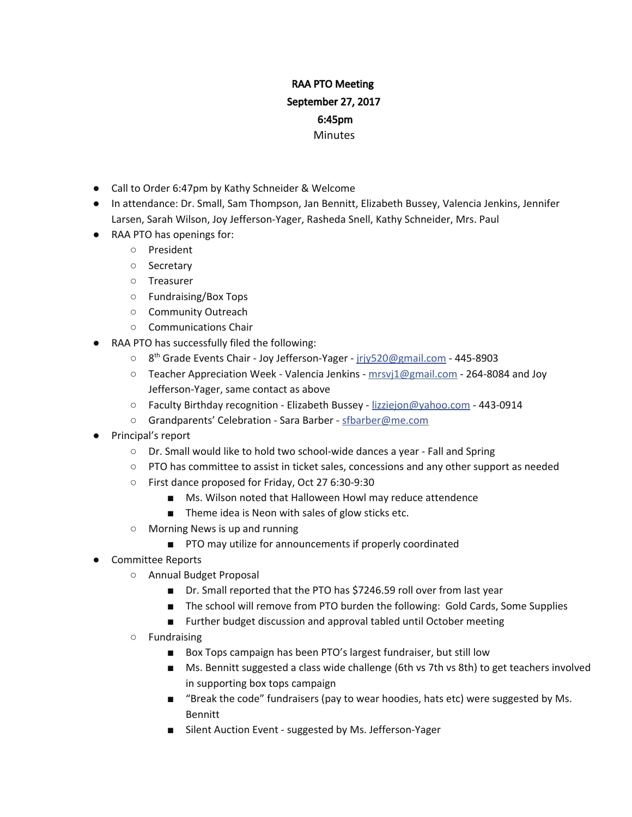## RAA PTO Meeting September 27, 2017 6:45pm **Minutes**

- Call to Order 6:47pm by Kathy Schneider & Welcome
- In attendance: Dr. Small, Sam Thompson, Jan Bennitt, Elizabeth Bussey, Valencia Jenkins, Jennifer Larsen, Sarah Wilson, Joy Jefferson-Yager, Rasheda Snell, Kathy Schneider, Mrs. Paul
- RAA PTO has openings for:
	- President
	- Secretary
	- Treasurer
	- Fundraising/Box Tops
	- Community Outreach
	- Communications Chair
- RAA PTO has successfully filed the following:
	- 8<sup>th</sup> Grade Events Chair Joy Jefferson-Yager jrjy520@gmail.com 445-8903
	- Teacher Appreciation Week Valencia Jenkins mrsvj1@gmail.com 264-8084 and Joy Jefferson-Yager, same contact as above
	- Faculty Birthday recognition Elizabeth Bussey lizziejon@yahoo.com 443-0914
	- Grandparents' Celebration Sara Barber sfbarber@me.com
- Principal's report
	- Dr. Small would like to hold two school-wide dances a year Fall and Spring
	- PTO has committee to assist in ticket sales, concessions and any other support as needed
	- First dance proposed for Friday, Oct 27 6:30-9:30
		- Ms. Wilson noted that Halloween Howl may reduce attendence
		- Theme idea is Neon with sales of glow sticks etc.
	- Morning News is up and running
		- PTO may utilize for announcements if properly coordinated
- Committee Reports
	- Annual Budget Proposal
		- Dr. Small reported that the PTO has \$7246.59 roll over from last year
		- The school will remove from PTO burden the following: Gold Cards, Some Supplies
		- Further budget discussion and approval tabled until October meeting
	- Fundraising
		- Box Tops campaign has been PTO's largest fundraiser, but still low
		- Ms. Bennitt suggested a class wide challenge (6th vs 7th vs 8th) to get teachers involved in supporting box tops campaign
		- "Break the code" fundraisers (pay to wear hoodies, hats etc) were suggested by Ms. Bennitt
		- Silent Auction Event suggested by Ms. Jefferson-Yager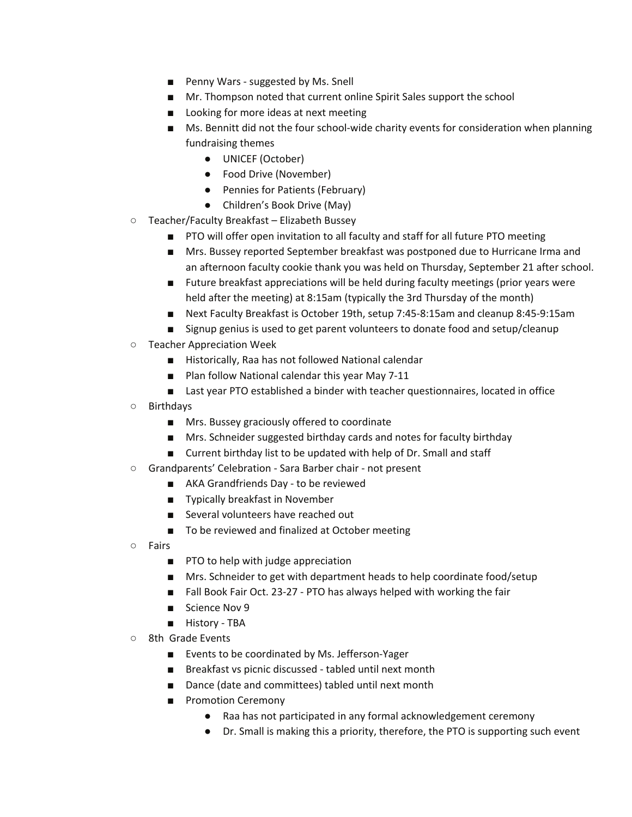- Penny Wars suggested by Ms. Snell
- Mr. Thompson noted that current online Spirit Sales support the school
- Looking for more ideas at next meeting
- Ms. Bennitt did not the four school-wide charity events for consideration when planning fundraising themes
	- UNICEF (October)
	- Food Drive (November)
	- Pennies for Patients (February)
	- Children's Book Drive (May)
- Teacher/Faculty Breakfast Elizabeth Bussey
	- PTO will offer open invitation to all faculty and staff for all future PTO meeting
	- Mrs. Bussey reported September breakfast was postponed due to Hurricane Irma and an afternoon faculty cookie thank you was held on Thursday, September 21 after school.
	- Future breakfast appreciations will be held during faculty meetings (prior years were held after the meeting) at 8:15am (typically the 3rd Thursday of the month)
	- Next Faculty Breakfast is October 19th, setup 7:45-8:15am and cleanup 8:45-9:15am
	- Signup genius is used to get parent volunteers to donate food and setup/cleanup
- Teacher Appreciation Week
	- Historically, Raa has not followed National calendar
	- Plan follow National calendar this year May 7-11
	- Last year PTO established a binder with teacher questionnaires, located in office
- Birthdays
	- Mrs. Bussey graciously offered to coordinate
	- Mrs. Schneider suggested birthday cards and notes for faculty birthday
	- Current birthday list to be updated with help of Dr. Small and staff
- Grandparents' Celebration Sara Barber chair not present
	- AKA Grandfriends Day to be reviewed
	- Typically breakfast in November
	- Several volunteers have reached out
	- To be reviewed and finalized at October meeting
- Fairs
	- PTO to help with judge appreciation
	- Mrs. Schneider to get with department heads to help coordinate food/setup
	- Fall Book Fair Oct. 23-27 PTO has always helped with working the fair
	- Science Nov 9
	- History TBA
- 8th Grade Events
	- Events to be coordinated by Ms. Jefferson-Yager
	- Breakfast vs picnic discussed tabled until next month
	- Dance (date and committees) tabled until next month
	- Promotion Ceremony
		- Raa has not participated in any formal acknowledgement ceremony
		- Dr. Small is making this a priority, therefore, the PTO is supporting such event